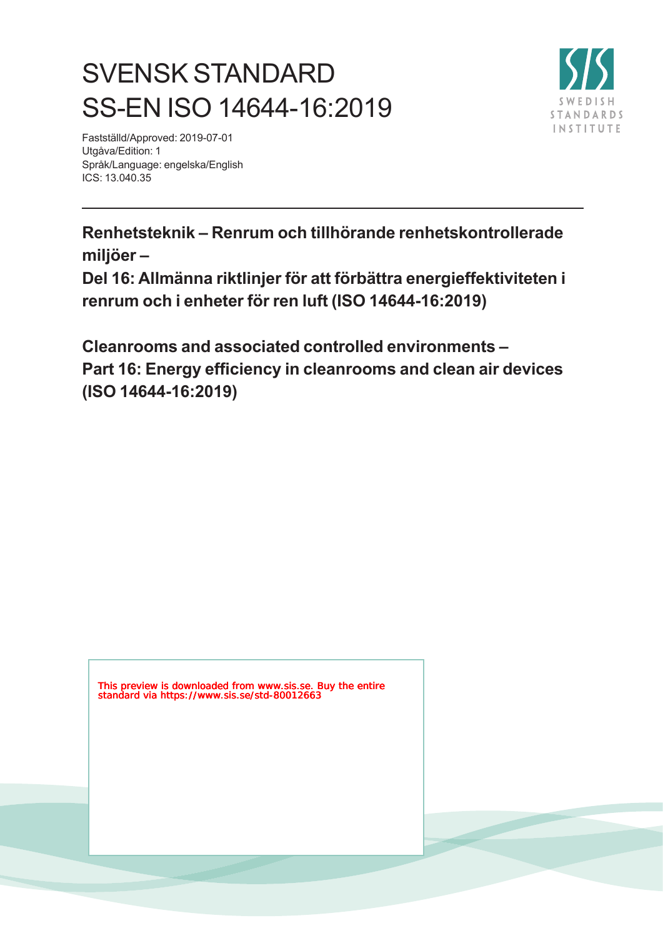# SVENSK STANDARD SS-EN ISO 14644-16:2019



Fastställd/Approved: 2019-07-01 Utgåva/Edition: 1 Språk/Language: engelska/English ICS: 13.040.35

**Renhetsteknik – Renrum och tillhörande renhetskontrollerade miljöer –**

**Del 16: Allmänna riktlinjer för att förbättra energieffektiviteten i renrum och i enheter för ren luft (ISO 14644-16:2019)**

**Cleanrooms and associated controlled environments – Part 16: Energy efficiency in cleanrooms and clean air devices (ISO 14644-16:2019)**

This preview is downloaded from www.sis.se. Buy the entire standard via https://www.sis.se/std-80012663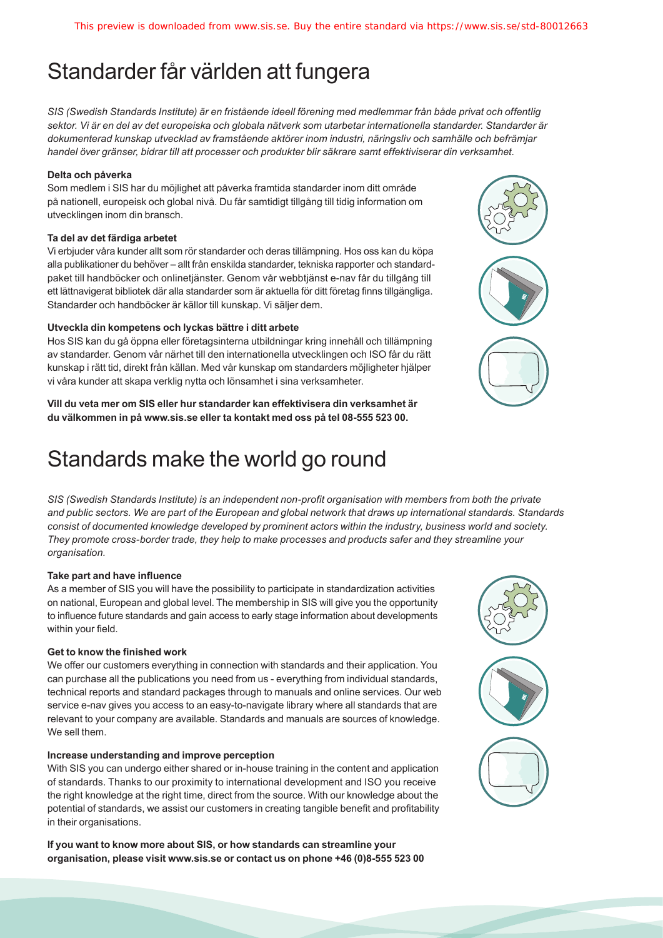## Standarder får världen att fungera

*SIS (Swedish Standards Institute) är en fristående ideell förening med medlemmar från både privat och offentlig sektor. Vi är en del av det europeiska och globala nätverk som utarbetar internationella standarder. Standarder är dokumenterad kunskap utvecklad av framstående aktörer inom industri, näringsliv och samhälle och befrämjar handel över gränser, bidrar till att processer och produkter blir säkrare samt effektiviserar din verksamhet.* 

#### **Delta och påverka**

Som medlem i SIS har du möjlighet att påverka framtida standarder inom ditt område på nationell, europeisk och global nivå. Du får samtidigt tillgång till tidig information om utvecklingen inom din bransch.

#### **Ta del av det färdiga arbetet**

Vi erbjuder våra kunder allt som rör standarder och deras tillämpning. Hos oss kan du köpa alla publikationer du behöver – allt från enskilda standarder, tekniska rapporter och standardpaket till handböcker och onlinetjänster. Genom vår webbtjänst e-nav får du tillgång till ett lättnavigerat bibliotek där alla standarder som är aktuella för ditt företag finns tillgängliga. Standarder och handböcker är källor till kunskap. Vi säljer dem.

#### **Utveckla din kompetens och lyckas bättre i ditt arbete**

Hos SIS kan du gå öppna eller företagsinterna utbildningar kring innehåll och tillämpning av standarder. Genom vår närhet till den internationella utvecklingen och ISO får du rätt kunskap i rätt tid, direkt från källan. Med vår kunskap om standarders möjligheter hjälper vi våra kunder att skapa verklig nytta och lönsamhet i sina verksamheter.

**Vill du veta mer om SIS eller hur standarder kan effektivisera din verksamhet är du välkommen in på www.sis.se eller ta kontakt med oss på tel 08-555 523 00.**

## Standards make the world go round

*SIS (Swedish Standards Institute) is an independent non-profit organisation with members from both the private and public sectors. We are part of the European and global network that draws up international standards. Standards consist of documented knowledge developed by prominent actors within the industry, business world and society. They promote cross-border trade, they help to make processes and products safer and they streamline your organisation.*

#### **Take part and have influence**

As a member of SIS you will have the possibility to participate in standardization activities on national, European and global level. The membership in SIS will give you the opportunity to influence future standards and gain access to early stage information about developments within your field.

#### **Get to know the finished work**

We offer our customers everything in connection with standards and their application. You can purchase all the publications you need from us - everything from individual standards, technical reports and standard packages through to manuals and online services. Our web service e-nav gives you access to an easy-to-navigate library where all standards that are relevant to your company are available. Standards and manuals are sources of knowledge. We sell them.

#### **Increase understanding and improve perception**

With SIS you can undergo either shared or in-house training in the content and application of standards. Thanks to our proximity to international development and ISO you receive the right knowledge at the right time, direct from the source. With our knowledge about the potential of standards, we assist our customers in creating tangible benefit and profitability in their organisations.

**If you want to know more about SIS, or how standards can streamline your organisation, please visit www.sis.se or contact us on phone +46 (0)8-555 523 00**



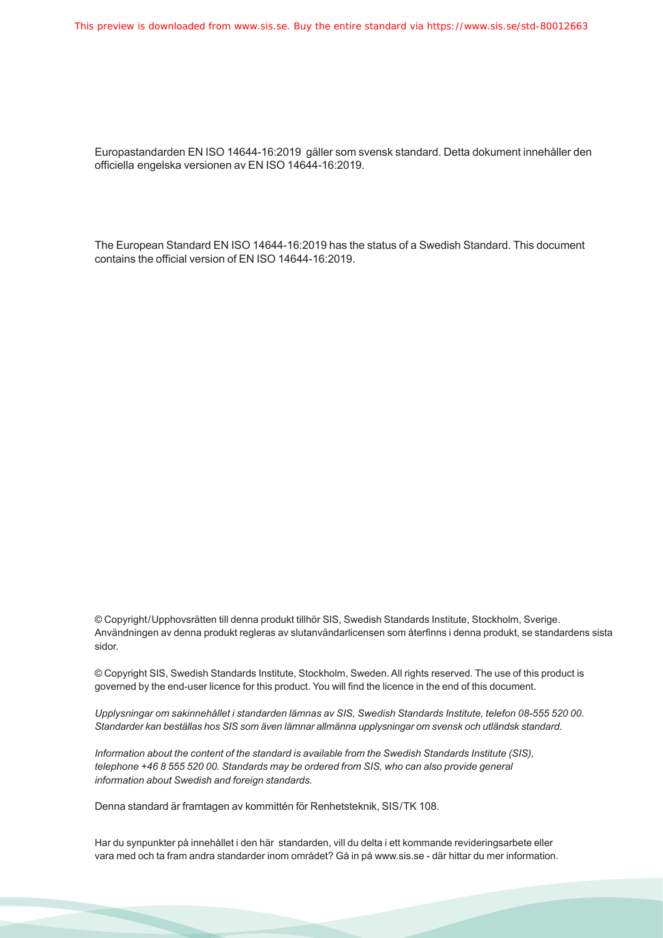Europastandarden EN ISO 14644-16:2019 gäller som svensk standard. Detta dokument innehåller den officiella engelska versionen av EN ISO 14644-16:2019.

The European Standard EN ISO 14644-16:2019 has the status of a Swedish Standard. This document contains the official version of EN ISO 14644-16:2019.

© Copyright / Upphovsrätten till denna produkt tillhör SIS, Swedish Standards Institute, Stockholm, Sverige. Användningen av denna produkt regleras av slutanvändarlicensen som återfinns i denna produkt, se standardens sista sidor.

© Copyright SIS, Swedish Standards Institute, Stockholm, Sweden. All rights reserved. The use of this product is governed by the end-user licence for this product. You will find the licence in the end of this document.

*Upplysningar om sakinnehållet i standarden lämnas av SIS, Swedish Standards Institute, telefon 08-555 520 00. Standarder kan beställas hos SIS som även lämnar allmänna upplysningar om svensk och utländsk standard.*

*Information about the content of the standard is available from the Swedish Standards Institute (SIS), telephone +46 8 555 520 00. Standards may be ordered from SIS, who can also provide general information about Swedish and foreign standards.*

Denna standard är framtagen av kommittén för Renhetsteknik, SIS / TK 108.

Har du synpunkter på innehållet i den här standarden, vill du delta i ett kommande revideringsarbete eller vara med och ta fram andra standarder inom området? Gå in på www.sis.se - där hittar du mer information.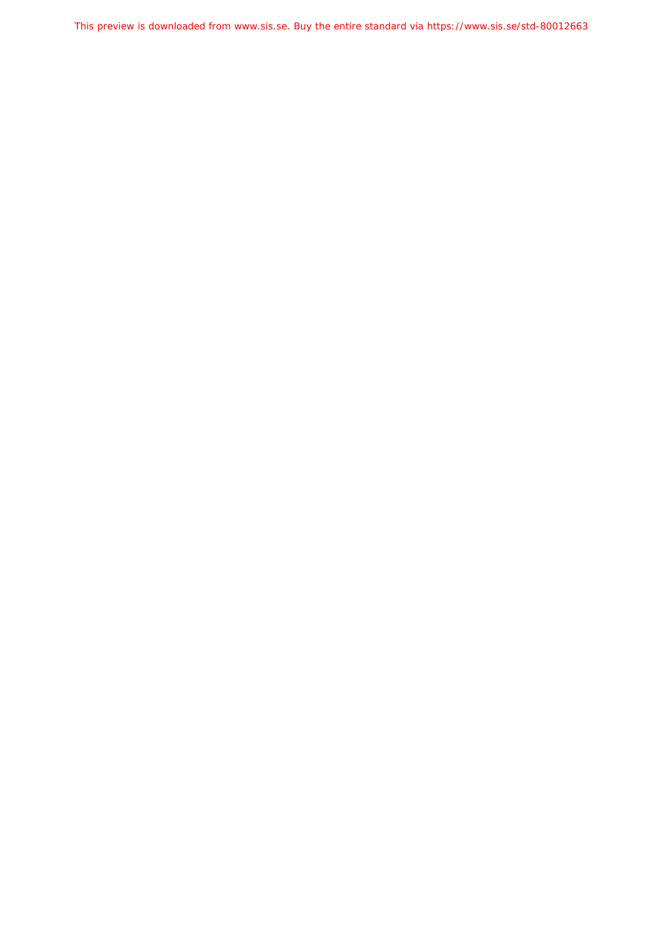This preview is downloaded from www.sis.se. Buy the entire standard via https://www.sis.se/std-80012663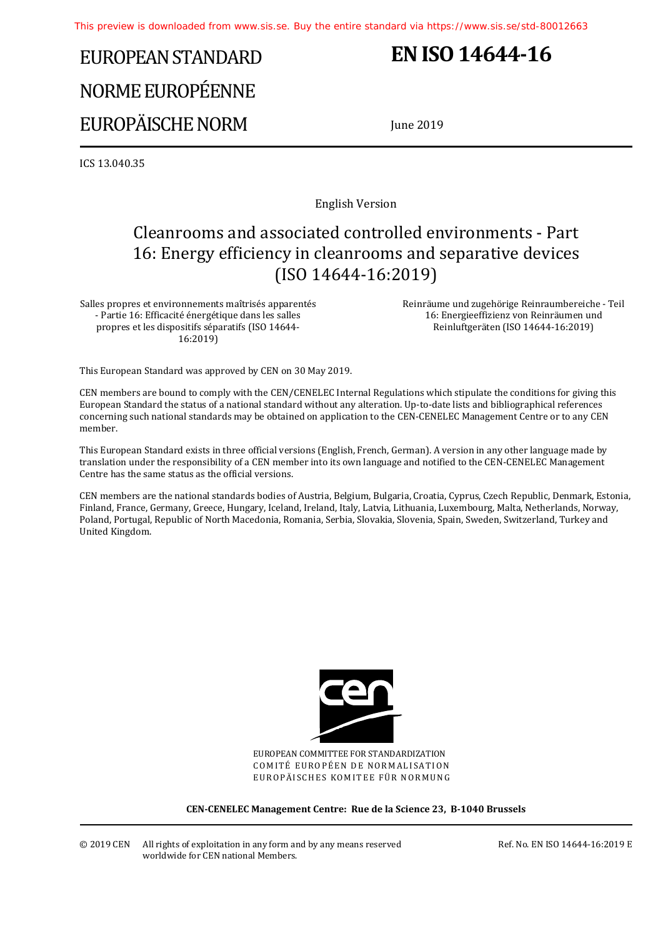# EUROPEAN STANDARD NORME EUROPÉENNE EUROPÄISCHE NORM

## **EN ISO 14644-16**

June 2019

ICS 13.040.35

English Version

## Cleanrooms and associated controlled environments - Part 16: Energy efficiency in cleanrooms and separative devices (ISO 14644-16:2019)

Salles propres et environnements maîtrisés apparentés - Partie 16: Efficacité énergétique dans les salles propres et les dispositifs séparatifs (ISO 14644- 16:2019)

 Reinräume und zugehörige Reinraumbereiche - Teil 16: Energieeffizienz von Reinräumen und Reinluftgeräten (ISO 14644-16:2019)

This European Standard was approved by CEN on 30 May 2019.

CEN members are bound to comply with the CEN/CENELEC Internal Regulations which stipulate the conditions for giving this European Standard the status of a national standard without any alteration. Up-to-date lists and bibliographical references concerning such national standards may be obtained on application to the CEN-CENELEC Management Centre or to any CEN member.

This European Standard exists in three official versions (English, French, German). A version in any other language made by translation under the responsibility of a CEN member into its own language and notified to the CEN-CENELEC Management Centre has the same status as the official versions.

CEN members are the national standards bodies of Austria, Belgium, Bulgaria, Croatia, Cyprus, Czech Republic, Denmark, Estonia, Finland, France, Germany, Greece, Hungary, Iceland, Ireland, Italy, Latvia, Lithuania, Luxembourg, Malta, Netherlands, Norway, Poland, Portugal, Republic of North Macedonia, Romania, Serbia, Slovakia, Slovenia, Spain, Sweden, Switzerland, Turkey and United Kingdom.



EUROPEAN COMMITTEE FOR STANDARDIZATION COMITÉ EUROPÉEN DE NORMALISATION EUROPÄISCHES KOMITEE FÜR NORMUNG

**CEN-CENELEC Management Centre: Rue de la Science 23, B-1040 Brussels** 

Ref. No. EN ISO 14644-16:2019 E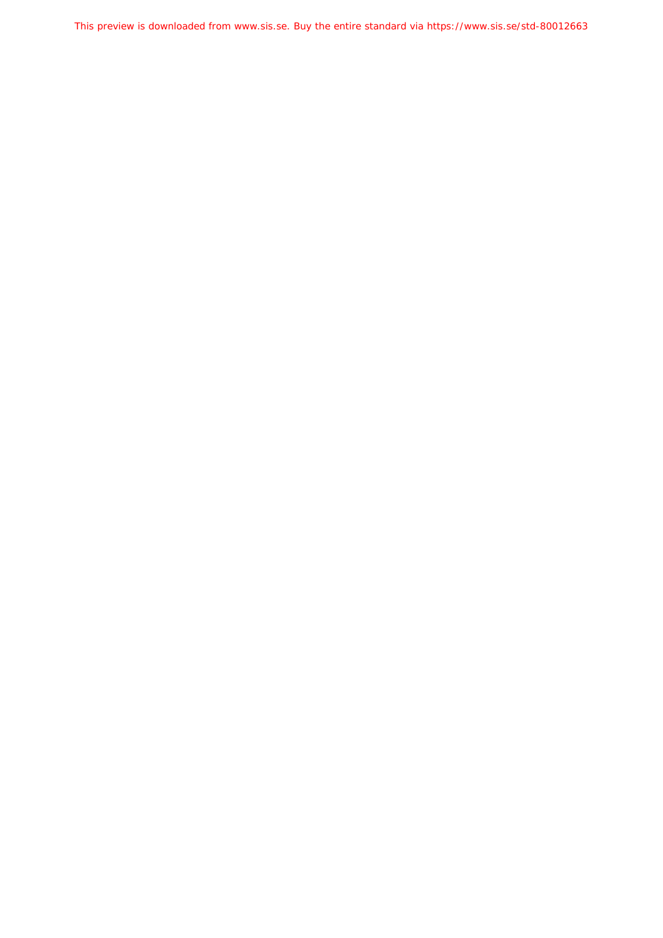This preview is downloaded from www.sis.se. Buy the entire standard via https://www.sis.se/std-80012663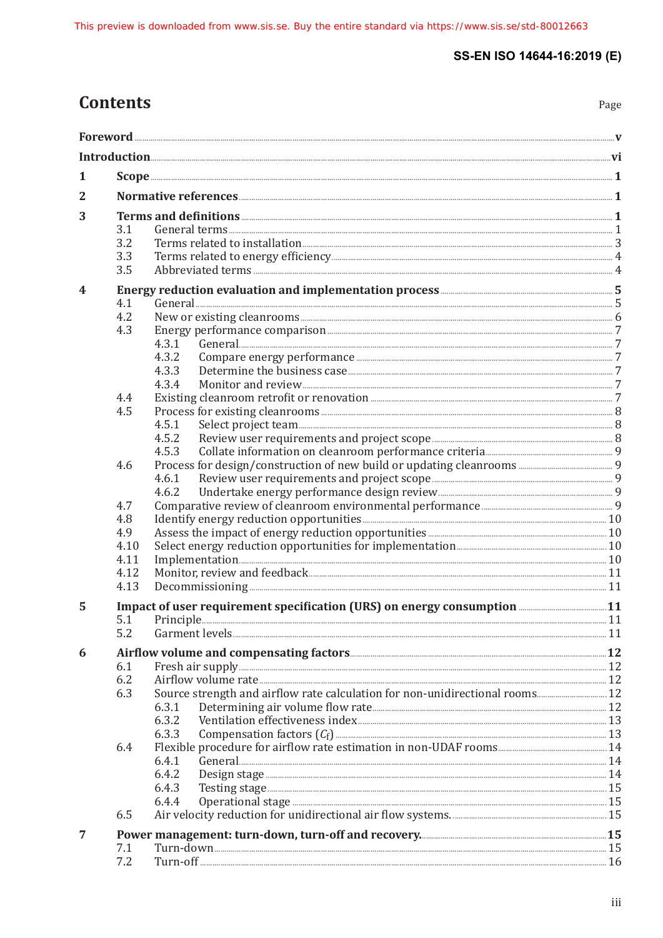Page

## **Contents**

| 1 |      |                           |  |  |
|---|------|---------------------------|--|--|
| 2 |      |                           |  |  |
| 3 |      |                           |  |  |
|   | 3.1  |                           |  |  |
|   | 3.2  |                           |  |  |
|   | 3.3  |                           |  |  |
|   | 3.5  |                           |  |  |
| 4 |      |                           |  |  |
|   | 4.1  |                           |  |  |
|   | 4.2  |                           |  |  |
|   | 4.3  |                           |  |  |
|   |      | 4.3.1                     |  |  |
|   |      | 4.3.2                     |  |  |
|   |      | 4.3.3                     |  |  |
|   |      | 4.3.4                     |  |  |
|   | 4.4  |                           |  |  |
|   | 4.5  |                           |  |  |
|   |      | 4.5.1                     |  |  |
|   |      | 4.5.2                     |  |  |
|   |      | 4.5.3                     |  |  |
|   | 4.6  |                           |  |  |
|   |      | 4.6.1                     |  |  |
|   |      | 4.6.2                     |  |  |
|   | 4.7  |                           |  |  |
|   | 4.8  |                           |  |  |
|   | 4.9  |                           |  |  |
|   | 4.10 |                           |  |  |
|   | 4.11 |                           |  |  |
|   | 4.12 |                           |  |  |
|   | 4.13 | Decommissioning 21 and 21 |  |  |
| 5 |      |                           |  |  |
|   | 5.1  |                           |  |  |
|   | 5.2  |                           |  |  |
| 6 |      |                           |  |  |
|   | 6.1  |                           |  |  |
|   | 6.2  |                           |  |  |
|   | 6.3  |                           |  |  |
|   |      | 6.3.1                     |  |  |
|   |      | 6.3.2                     |  |  |
|   |      | 6.3.3                     |  |  |
|   | 6.4  |                           |  |  |
|   |      | 6.4.1                     |  |  |
|   |      | 6.4.2                     |  |  |
|   |      | 6.4.3                     |  |  |
|   |      | 6.4.4                     |  |  |
|   |      |                           |  |  |

|  | Turn-off |  |
|--|----------|--|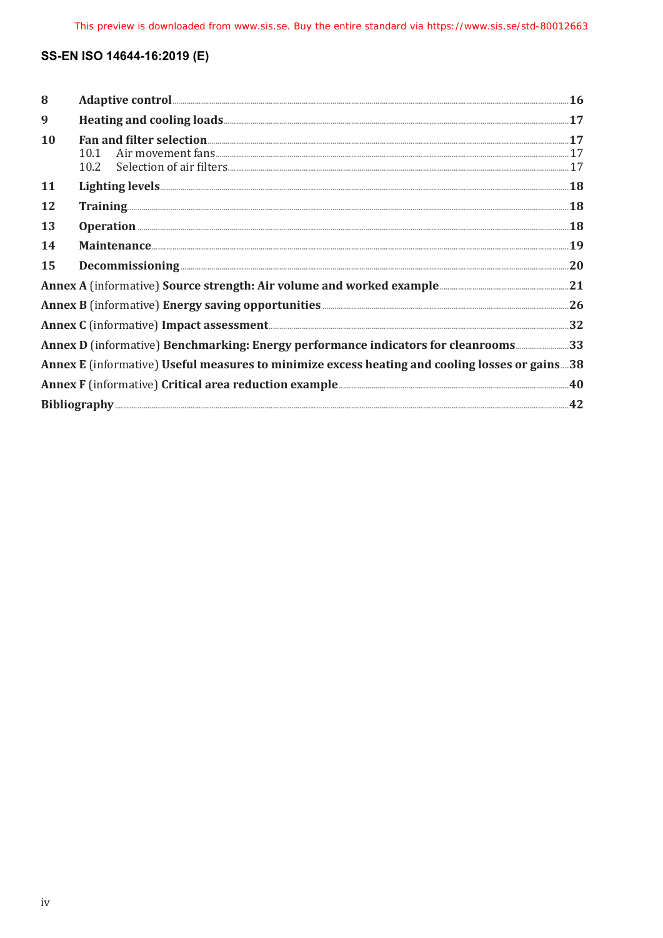| 8         | Adaptive control 16                                                                            |  |
|-----------|------------------------------------------------------------------------------------------------|--|
| 9         |                                                                                                |  |
| 10        |                                                                                                |  |
| 11        |                                                                                                |  |
| <b>12</b> |                                                                                                |  |
| 13        | Operation 18<br>Maintenance 19                                                                 |  |
| 14        |                                                                                                |  |
| 15        | Decommissioning 20                                                                             |  |
|           |                                                                                                |  |
|           | Annex B (informative) Energy saving opportunities <b>Energian State 26</b>                     |  |
|           | Annex C (informative) Impact assessment                                                        |  |
|           | Annex D (informative) Benchmarking: Energy performance indicators for cleanrooms33             |  |
|           | Annex E (informative) Useful measures to minimize excess heating and cooling losses or gains38 |  |
|           |                                                                                                |  |
|           |                                                                                                |  |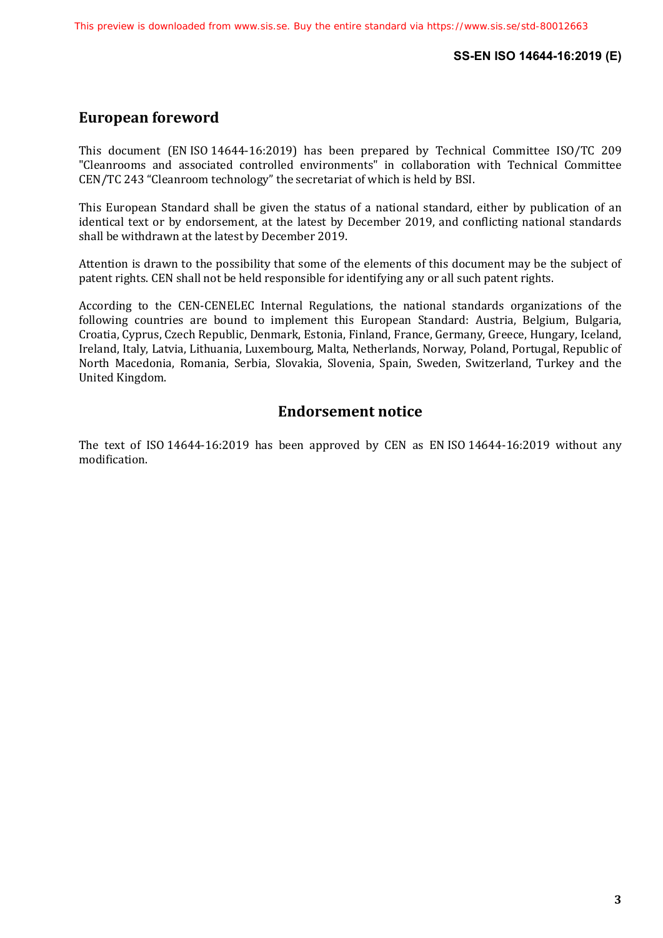## **European foreword**

This document (EN ISO 14644-16:2019) has been prepared by Technical Committee ISO/TC 209 "Cleanrooms and associated controlled environments" in collaboration with Technical Committee CEN/TC 243 "Cleanroom technology" the secretariat of which is held by BSI.

This European Standard shall be given the status of a national standard, either by publication of an identical text or by endorsement, at the latest by December 2019, and conflicting national standards shall be withdrawn at the latest by December 2019.

Attention is drawn to the possibility that some of the elements of this document may be the subject of patent rights. CEN shall not be held responsible for identifying any or all such patent rights.

According to the CEN-CENELEC Internal Regulations, the national standards organizations of the following countries are bound to implement this European Standard: Austria, Belgium, Bulgaria, Croatia, Cyprus, Czech Republic, Denmark, Estonia, Finland, France, Germany, Greece, Hungary, Iceland, Ireland, Italy, Latvia, Lithuania, Luxembourg, Malta, Netherlands, Norway, Poland, Portugal, Republic of North Macedonia, Romania, Serbia, Slovakia, Slovenia, Spain, Sweden, Switzerland, Turkey and the United Kingdom.

### **Endorsement notice**

The text of ISO 14644-16:2019 has been approved by CEN as EN ISO 14644-16:2019 without any modification.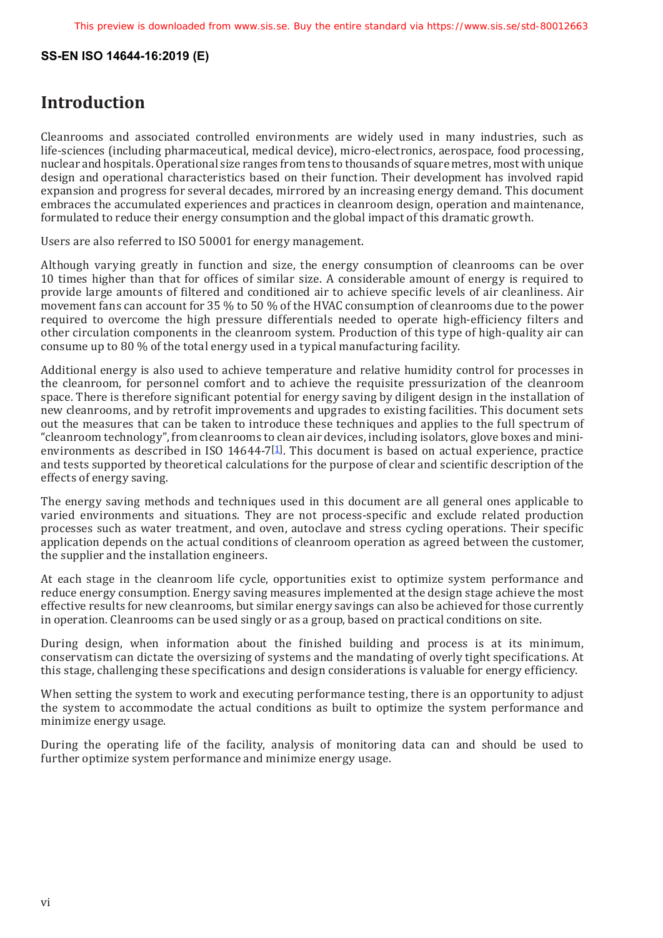## **Introduction**

Cleanrooms and associated controlled environments are widely used in many industries, such as life‑sciences (including pharmaceutical, medical device), micro‑electronics, aerospace, food processing, nuclear and hospitals. Operational size ranges from tens to thousands of square metres, most with unique design and operational characteristics based on their function. Their development has involved rapid expansion and progress for several decades, mirrored by an increasing energy demand. This document embraces the accumulated experiences and practices in cleanroom design, operation and maintenance, formulated to reduce their energy consumption and the global impact of this dramatic growth.

Users are also referred to ISO 50001 for energy management.

Although varying greatly in function and size, the energy consumption of cleanrooms can be over 10 times higher than that for offices of similar size. A considerable amount of energy is required to provide large amounts of filtered and conditioned air to achieve specific levels of air cleanliness. Air movement fans can account for 35 % to 50 % of the HVAC consumption of cleanrooms due to the power required to overcome the high pressure differentials needed to operate high-efficiency filters and other circulation components in the cleanroom system. Production of this type of high-quality air can consume up to 80 % of the total energy used in a typical manufacturing facility.

Additional energy is also used to achieve temperature and relative humidity control for processes in the cleanroom, for personnel comfort and to achieve the requisite pressurization of the cleanroom space. There is therefore significant potential for energy saving by diligent design in the installation of new cleanrooms, and by retrofit improvements and upgrades to existing facilities. This document sets out the measures that can be taken to introduce these techniques and applies to the full spectrum of "cleanroom technology", from cleanrooms to clean air devices, including isolators, glove boxes and minienvironments as described in ISO 14644-7<sup>[1]</sup>. This document is based on actual experience, practice and tests supported by theoretical calculations for the purpose of clear and scientific description of the effects of energy saving.

The energy saving methods and techniques used in this document are all general ones applicable to varied environments and situations. They are not process-specific and exclude related production processes such as water treatment, and oven, autoclave and stress cycling operations. Their specific application depends on the actual conditions of cleanroom operation as agreed between the customer, the supplier and the installation engineers.

At each stage in the cleanroom life cycle, opportunities exist to optimize system performance and reduce energy consumption. Energy saving measures implemented at the design stage achieve the most effective results for new cleanrooms, but similar energy savings can also be achieved for those currently in operation. Cleanrooms can be used singly or as a group, based on practical conditions on site.

During design, when information about the finished building and process is at its minimum, conservatism can dictate the oversizing of systems and the mandating of overly tight specifications. At this stage, challenging these specifications and design considerations is valuable for energy efficiency.

When setting the system to work and executing performance testing, there is an opportunity to adjust the system to accommodate the actual conditions as built to optimize the system performance and minimize energy usage.

During the operating life of the facility, analysis of monitoring data can and should be used to further optimize system performance and minimize energy usage.